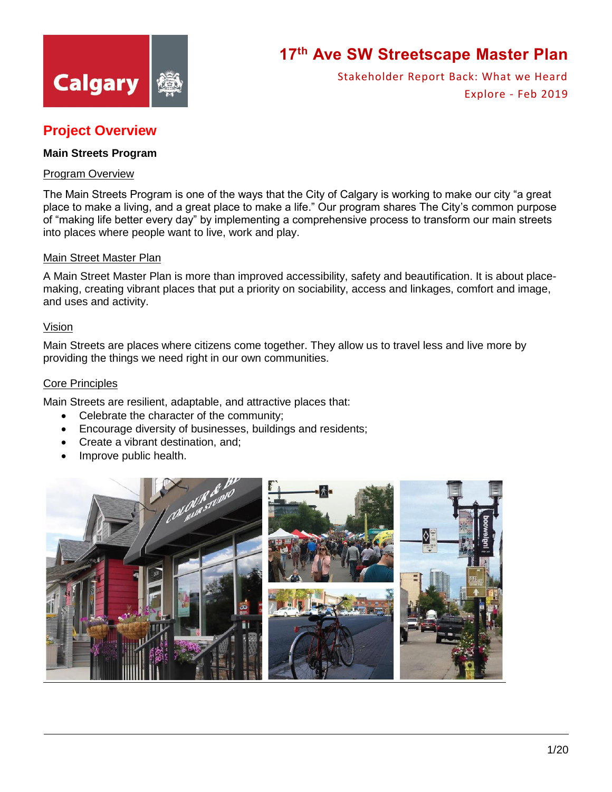

Stakeholder Report Back: What we Heard Explore - Feb 2019

#### **Project Overview**

#### **Main Streets Program**

#### Program Overview

The Main Streets Program is one of the ways that the City of Calgary is working to make our city "a great place to make a living, and a great place to make a life." Our program shares The City's common purpose of "making life better every day" by implementing a comprehensive process to transform our main streets into places where people want to live, work and play.

#### Main Street Master Plan

A Main Street Master Plan is more than improved accessibility, safety and beautification. It is about placemaking, creating vibrant places that put a priority on sociability, access and linkages, comfort and image, and uses and activity.

#### Vision

Main Streets are places where citizens come together. They allow us to travel less and live more by providing the things we need right in our own communities.

#### Core Principles

Main Streets are resilient, adaptable, and attractive places that:

- Celebrate the character of the community;
- Encourage diversity of businesses, buildings and residents;
- Create a vibrant destination, and;
- Improve public health.

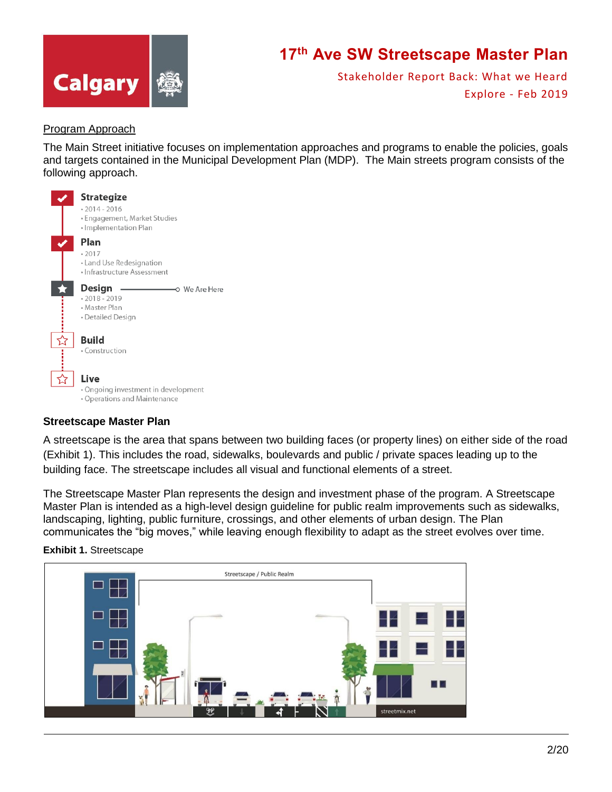

Stakeholder Report Back: What we Heard Explore - Feb 2019

#### Program Approach

The Main Street initiative focuses on implementation approaches and programs to enable the policies, goals and targets contained in the Municipal Development Plan (MDP). The Main streets program consists of the following approach.



#### **Streetscape Master Plan**

A streetscape is the area that spans between two building faces (or property lines) on either side of the road (Exhibit 1). This includes the road, sidewalks, boulevards and public / private spaces leading up to the building face. The streetscape includes all visual and functional elements of a street.

The Streetscape Master Plan represents the design and investment phase of the program. A Streetscape Master Plan is intended as a high-level design guideline for public realm improvements such as sidewalks, landscaping, lighting, public furniture, crossings, and other elements of urban design. The Plan communicates the "big moves," while leaving enough flexibility to adapt as the street evolves over time.

**Exhibit 1.** Streetscape

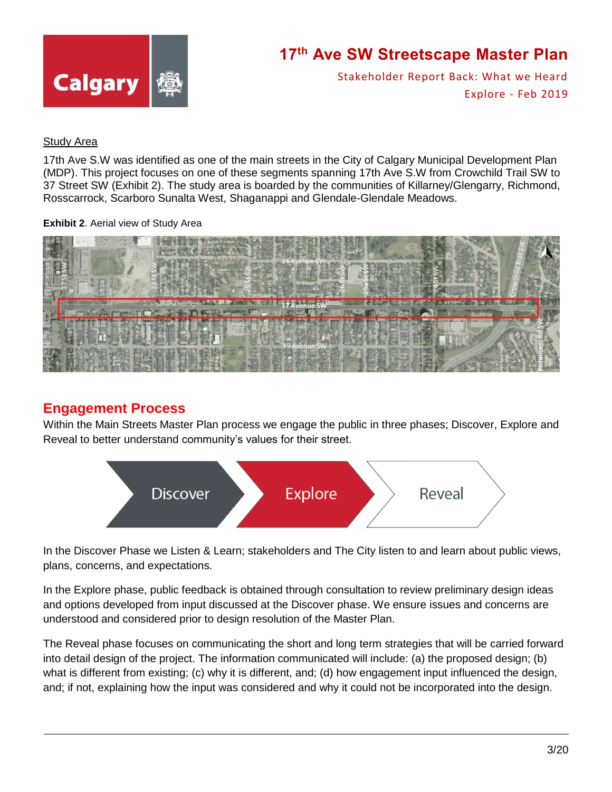

Stakeholder Report Back: What we Heard Explore - Feb 2019

#### Study Area

17th Ave S.W was identified as one of the main streets in the City of Calgary Municipal Development Plan (MDP). This project focuses on one of these segments spanning 17th Ave S.W from Crowchild Trail SW to 37 Street SW (Exhibit 2). The study area is boarded by the communities of Killarney/Glengarry, Richmond, Rosscarrock, Scarboro Sunalta West, Shaganappi and Glendale-Glendale Meadows.

#### **Exhibit 2**. Aerial view of Study Area



#### **Engagement Process**

Within the Main Streets Master Plan process we engage the public in three phases; Discover, Explore and Reveal to better understand community's values for their street.



In the Discover Phase we Listen & Learn; stakeholders and The City listen to and learn about public views, plans, concerns, and expectations.

In the Explore phase, public feedback is obtained through consultation to review preliminary design ideas and options developed from input discussed at the Discover phase. We ensure issues and concerns are understood and considered prior to design resolution of the Master Plan.

The Reveal phase focuses on communicating the short and long term strategies that will be carried forward into detail design of the project. The information communicated will include: (a) the proposed design; (b) what is different from existing; (c) why it is different, and; (d) how engagement input influenced the design, and; if not, explaining how the input was considered and why it could not be incorporated into the design.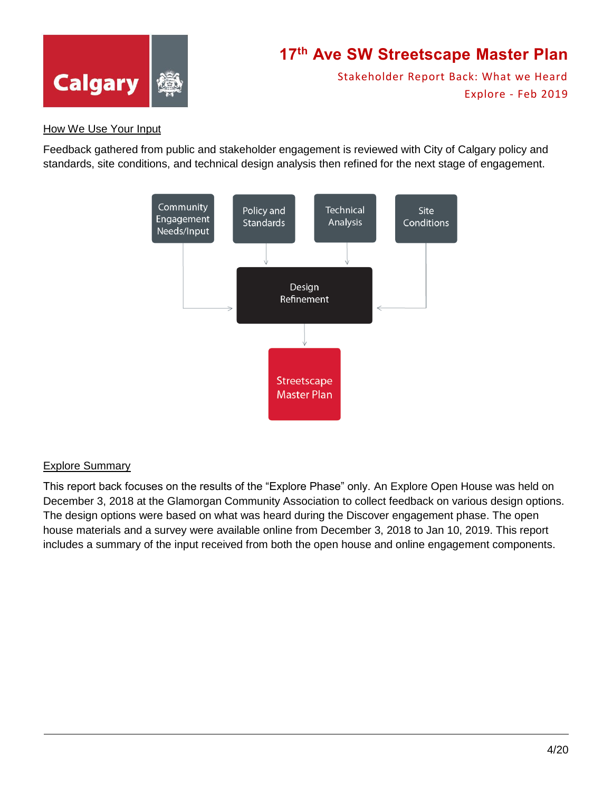

Stakeholder Report Back: What we Heard Explore - Feb 2019

#### How We Use Your Input

Feedback gathered from public and stakeholder engagement is reviewed with City of Calgary policy and standards, site conditions, and technical design analysis then refined for the next stage of engagement.



#### Explore Summary

This report back focuses on the results of the "Explore Phase" only. An Explore Open House was held on December 3, 2018 at the Glamorgan Community Association to collect feedback on various design options. The design options were based on what was heard during the Discover engagement phase. The open house materials and a survey were available online from December 3, 2018 to Jan 10, 2019. This report includes a summary of the input received from both the open house and online engagement components.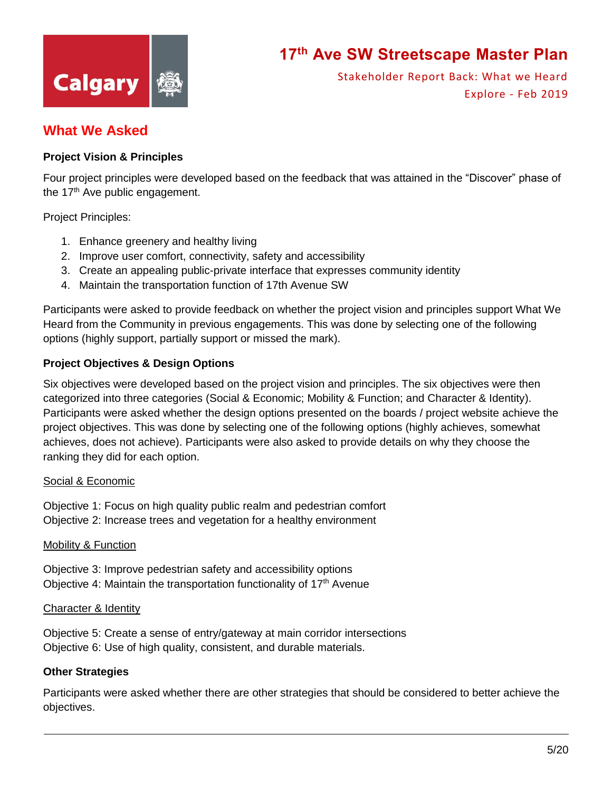

Stakeholder Report Back: What we Heard Explore - Feb 2019

#### **What We Asked**

#### **Project Vision & Principles**

Four project principles were developed based on the feedback that was attained in the "Discover" phase of the  $17<sup>th</sup>$  Ave public engagement.

Project Principles:

- 1. Enhance greenery and healthy living
- 2. Improve user comfort, connectivity, safety and accessibility
- 3. Create an appealing public-private interface that expresses community identity
- 4. Maintain the transportation function of 17th Avenue SW

Participants were asked to provide feedback on whether the project vision and principles support What We Heard from the Community in previous engagements. This was done by selecting one of the following options (highly support, partially support or missed the mark).

#### **Project Objectives & Design Options**

Six objectives were developed based on the project vision and principles. The six objectives were then categorized into three categories (Social & Economic; Mobility & Function; and Character & Identity). Participants were asked whether the design options presented on the boards / project website achieve the project objectives. This was done by selecting one of the following options (highly achieves, somewhat achieves, does not achieve). Participants were also asked to provide details on why they choose the ranking they did for each option.

#### Social & Economic

Objective 1: Focus on high quality public realm and pedestrian comfort Objective 2: Increase trees and vegetation for a healthy environment

#### Mobility & Function

Objective 3: Improve pedestrian safety and accessibility options Objective 4: Maintain the transportation functionality of 17<sup>th</sup> Avenue

#### Character & Identity

Objective 5: Create a sense of entry/gateway at main corridor intersections Objective 6: Use of high quality, consistent, and durable materials.

#### **Other Strategies**

Participants were asked whether there are other strategies that should be considered to better achieve the objectives.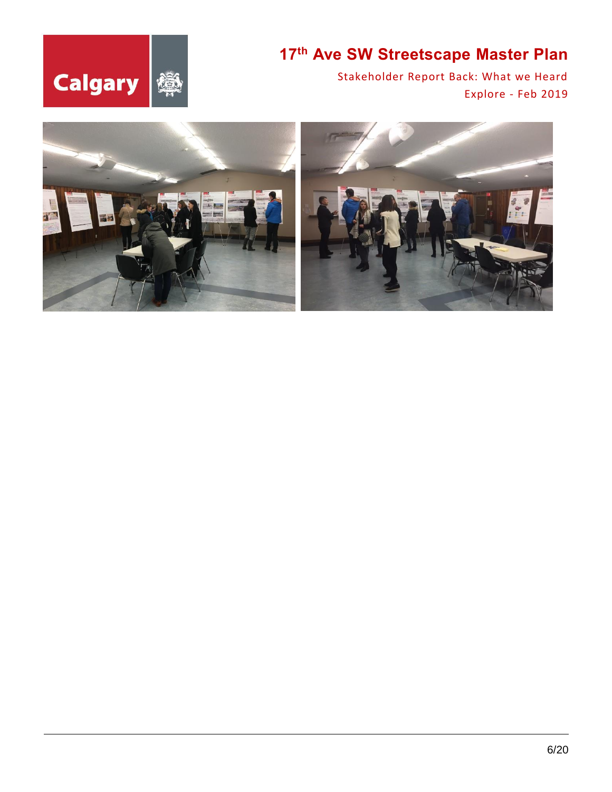# **Calgary** 役員

### **17 th Ave SW Streetscape Master Plan**

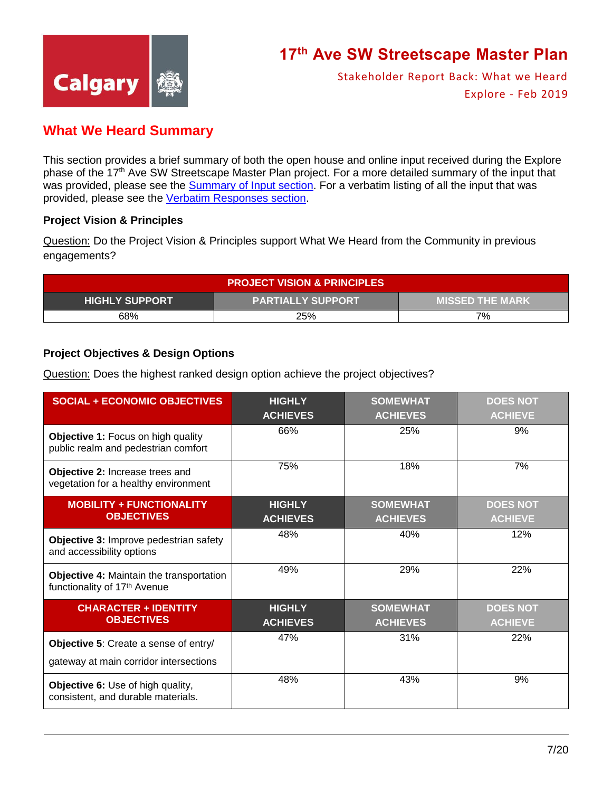

Stakeholder Report Back: What we Heard Explore - Feb 2019

#### **What We Heard Summary**

This section provides a brief summary of both the open house and online input received during the Explore phase of the 17<sup>th</sup> Ave SW Streetscape Master Plan project. For a more detailed summary of the input that was provided, please see the **Summary of Input section**. For a verbatim listing of all the input that was provided, please see the [Verbatim Responses section.](#page-11-0)

#### **Project Vision & Principles**

Question: Do the Project Vision & Principles support What We Heard from the Community in previous engagements?

| <b>PROJECT VISION &amp; PRINCIPLES</b> |                          |                        |  |
|----------------------------------------|--------------------------|------------------------|--|
| <b>HIGHLY SUPPORT</b>                  | <b>PARTIALLY SUPPORT</b> | <b>MISSED THE MARK</b> |  |
| 68%                                    | 25%                      | 7%                     |  |

#### **Project Objectives & Design Options**

Question: Does the highest ranked design option achieve the project objectives?

| <b>SOCIAL + ECONOMIC OBJECTIVES</b>                                                         | <b>HIGHLY</b><br><b>ACHIEVES</b> | <b>SOMEWHAT</b><br><b>ACHIEVES</b> | <b>DOES NOT</b><br><b>ACHIEVE</b> |
|---------------------------------------------------------------------------------------------|----------------------------------|------------------------------------|-----------------------------------|
| Objective 1: Focus on high quality<br>public realm and pedestrian comfort                   | 66%                              | 25%                                | 9%                                |
| Objective 2: Increase trees and<br>vegetation for a healthy environment                     | 75%<br>18%                       |                                    | 7%                                |
| <b>MOBILITY + FUNCTIONALITY</b>                                                             | <b>HIGHLY</b>                    | <b>SOMEWHAT</b>                    | <b>DOES NOT</b>                   |
| <b>OBJECTIVES</b>                                                                           | <b>ACHIEVES</b>                  | <b>ACHIEVES</b>                    | <b>ACHIEVE</b>                    |
| Objective 3: Improve pedestrian safety<br>and accessibility options                         | 48%                              | 40%                                | 12%                               |
| <b>Objective 4: Maintain the transportation</b><br>functionality of 17 <sup>th</sup> Avenue | 49%                              | 29%                                | 22%                               |
| <b>CHARACTER + IDENTITY</b>                                                                 | <b>HIGHLY</b>                    | <b>SOMEWHAT</b>                    | <b>DOES NOT</b>                   |
| <b>OBJECTIVES</b>                                                                           | <b>ACHIEVES</b>                  | <b>ACHIEVES</b>                    | <b>ACHIEVE</b>                    |
| Objective 5: Create a sense of entry/                                                       | 47%                              | 31%                                | 22%                               |
| gateway at main corridor intersections                                                      |                                  |                                    |                                   |
| <b>Objective 6:</b> Use of high quality,<br>consistent, and durable materials.              | 48%                              | 43%                                | 9%                                |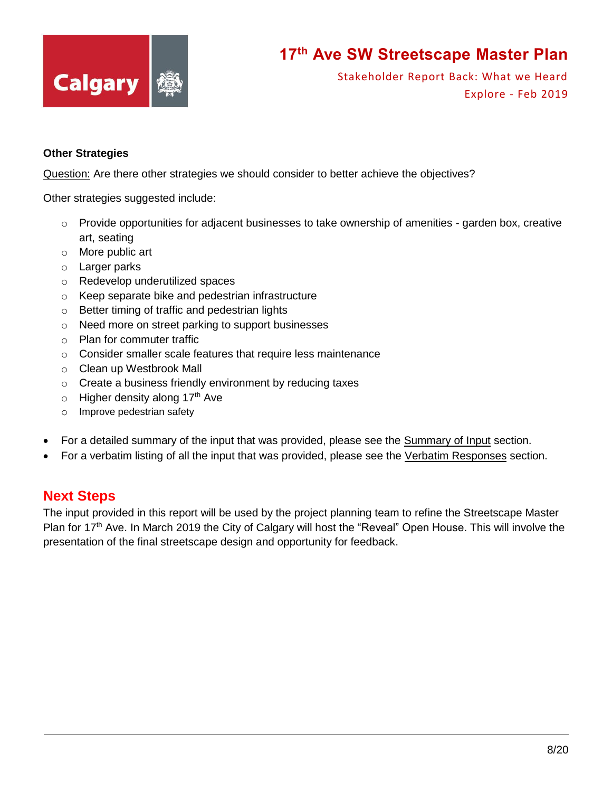

Stakeholder Report Back: What we Heard Explore - Feb 2019

#### **Other Strategies**

Question: Are there other strategies we should consider to better achieve the objectives?

Other strategies suggested include:

- o Provide opportunities for adjacent businesses to take ownership of amenities garden box, creative art, seating
- o More public art
- o Larger parks
- o Redevelop underutilized spaces
- o Keep separate bike and pedestrian infrastructure
- o Better timing of traffic and pedestrian lights
- o Need more on street parking to support businesses
- o Plan for commuter traffic
- o Consider smaller scale features that require less maintenance
- o Clean up Westbrook Mall
- o Create a business friendly environment by reducing taxes
- $\circ$  Higher density along 17<sup>th</sup> Ave
- o Improve pedestrian safety
- For a detailed summary of the input that was provided, please see the [Summary of Input](#page-8-0) section.
- For a verbatim listing of all the input that was provided, please see the [Verbatim Responses](#page-11-0) section.

#### **Next Steps**

The input provided in this report will be used by the project planning team to refine the Streetscape Master Plan for 17<sup>th</sup> Ave. In March 2019 the City of Calgary will host the "Reveal" Open House. This will involve the presentation of the final streetscape design and opportunity for feedback.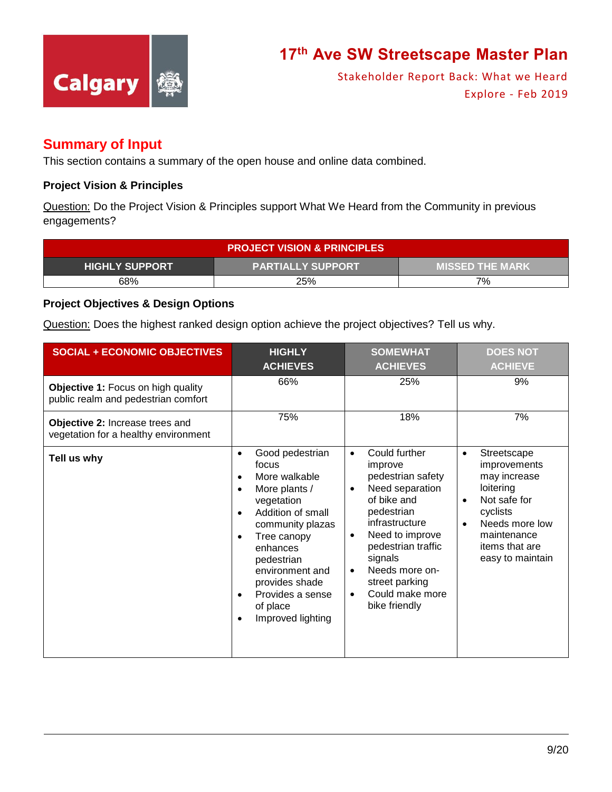

Stakeholder Report Back: What we Heard Explore - Feb 2019

#### <span id="page-8-0"></span>**Summary of Input**

This section contains a summary of the open house and online data combined.

#### **Project Vision & Principles**

Question: Do the Project Vision & Principles support What We Heard from the Community in previous engagements?

| <b>PROJECT VISION &amp; PRINCIPLES</b> |                    |                        |  |
|----------------------------------------|--------------------|------------------------|--|
| <b>HIGHLY SUPPORT</b>                  | PARTIALLY SUPPORT. | <b>MISSED THE MARK</b> |  |
| 68%                                    | 25%                | 7%                     |  |

#### **Project Objectives & Design Options**

Question: Does the highest ranked design option achieve the project objectives? Tell us why.

| <b>SOCIAL + ECONOMIC OBJECTIVES</b>                                       | <b>HIGHLY</b><br><b>ACHIEVES</b>                                                                                                                                                                                                                                                                                                   | <b>SOMEWHAT</b><br><b>ACHIEVES</b>                                                                                                                                                                                                                                                                           | <b>DOES NOT</b><br><b>ACHIEVE</b>                                                                                                                                                                  |
|---------------------------------------------------------------------------|------------------------------------------------------------------------------------------------------------------------------------------------------------------------------------------------------------------------------------------------------------------------------------------------------------------------------------|--------------------------------------------------------------------------------------------------------------------------------------------------------------------------------------------------------------------------------------------------------------------------------------------------------------|----------------------------------------------------------------------------------------------------------------------------------------------------------------------------------------------------|
| Objective 1: Focus on high quality<br>public realm and pedestrian comfort | 66%                                                                                                                                                                                                                                                                                                                                | 25%                                                                                                                                                                                                                                                                                                          | 9%                                                                                                                                                                                                 |
| Objective 2: Increase trees and<br>vegetation for a healthy environment   | 75%                                                                                                                                                                                                                                                                                                                                | 18%                                                                                                                                                                                                                                                                                                          | 7%                                                                                                                                                                                                 |
| Tell us why                                                               | Good pedestrian<br>$\bullet$<br>focus<br>More walkable<br>$\bullet$<br>More plants /<br>$\bullet$<br>vegetation<br>Addition of small<br>$\bullet$<br>community plazas<br>Tree canopy<br>$\bullet$<br>enhances<br>pedestrian<br>environment and<br>provides shade<br>Provides a sense<br>$\bullet$<br>of place<br>Improved lighting | Could further<br>$\bullet$<br>improve<br>pedestrian safety<br>Need separation<br>$\bullet$<br>of bike and<br>pedestrian<br>infrastructure<br>Need to improve<br>$\bullet$<br>pedestrian traffic<br>signals<br>Needs more on-<br>$\bullet$<br>street parking<br>Could make more<br>$\bullet$<br>bike friendly | Streetscape<br>$\bullet$<br>improvements<br>may increase<br>loitering<br>Not safe for<br>$\bullet$<br>cyclists<br>Needs more low<br>$\bullet$<br>maintenance<br>items that are<br>easy to maintain |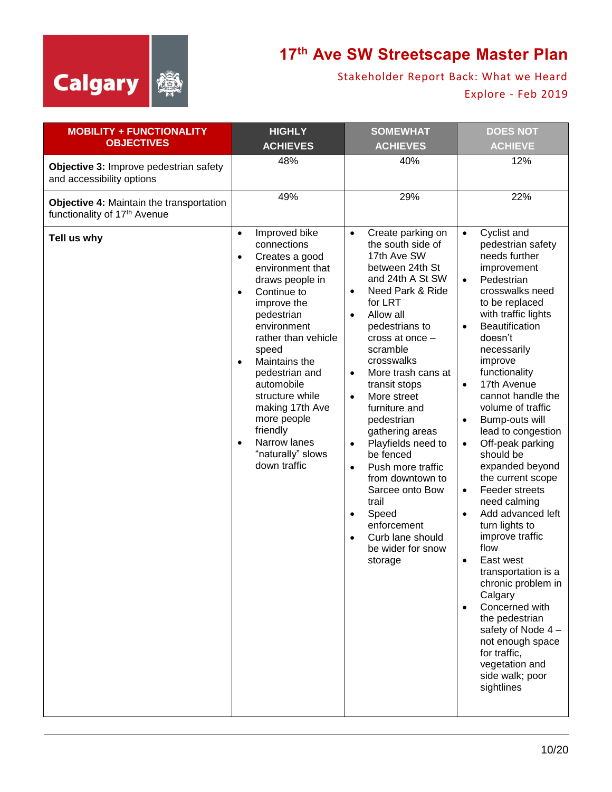

| <b>MOBILITY + FUNCTIONALITY</b>                                                      | <b>HIGHLY</b>                                                                                                                                                                                                                                                                                                                                                                                                            | <b>SOMEWHAT</b>                                                                                                                                                                                                                                                                                                                                                                                                                                                                                                                                                                                                          | <b>DOES NOT</b>                                                                                                                                                                                                                                                                                                                                                                                                                                                                                                                                                                                                                                                                                                                                                                                                                                    |
|--------------------------------------------------------------------------------------|--------------------------------------------------------------------------------------------------------------------------------------------------------------------------------------------------------------------------------------------------------------------------------------------------------------------------------------------------------------------------------------------------------------------------|--------------------------------------------------------------------------------------------------------------------------------------------------------------------------------------------------------------------------------------------------------------------------------------------------------------------------------------------------------------------------------------------------------------------------------------------------------------------------------------------------------------------------------------------------------------------------------------------------------------------------|----------------------------------------------------------------------------------------------------------------------------------------------------------------------------------------------------------------------------------------------------------------------------------------------------------------------------------------------------------------------------------------------------------------------------------------------------------------------------------------------------------------------------------------------------------------------------------------------------------------------------------------------------------------------------------------------------------------------------------------------------------------------------------------------------------------------------------------------------|
| <b>OBJECTIVES</b>                                                                    | <b>ACHIEVES</b>                                                                                                                                                                                                                                                                                                                                                                                                          | <b>ACHIEVES</b>                                                                                                                                                                                                                                                                                                                                                                                                                                                                                                                                                                                                          | <b>ACHIEVE</b>                                                                                                                                                                                                                                                                                                                                                                                                                                                                                                                                                                                                                                                                                                                                                                                                                                     |
| Objective 3: Improve pedestrian safety<br>and accessibility options                  | 48%                                                                                                                                                                                                                                                                                                                                                                                                                      | 40%                                                                                                                                                                                                                                                                                                                                                                                                                                                                                                                                                                                                                      | 12%                                                                                                                                                                                                                                                                                                                                                                                                                                                                                                                                                                                                                                                                                                                                                                                                                                                |
| Objective 4: Maintain the transportation<br>functionality of 17 <sup>th</sup> Avenue | 49%                                                                                                                                                                                                                                                                                                                                                                                                                      | 29%                                                                                                                                                                                                                                                                                                                                                                                                                                                                                                                                                                                                                      | 22%                                                                                                                                                                                                                                                                                                                                                                                                                                                                                                                                                                                                                                                                                                                                                                                                                                                |
| Tell us why                                                                          | Improved bike<br>$\bullet$<br>connections<br>Creates a good<br>$\bullet$<br>environment that<br>draws people in<br>Continue to<br>$\bullet$<br>improve the<br>pedestrian<br>environment<br>rather than vehicle<br>speed<br>Maintains the<br>$\bullet$<br>pedestrian and<br>automobile<br>structure while<br>making 17th Ave<br>more people<br>friendly<br>Narrow lanes<br>$\bullet$<br>"naturally" slows<br>down traffic | Create parking on<br>$\bullet$<br>the south side of<br>17th Ave SW<br>between 24th St<br>and 24th A St SW<br>Need Park & Ride<br>$\bullet$<br>for LRT<br>Allow all<br>$\bullet$<br>pedestrians to<br>cross at once -<br>scramble<br>crosswalks<br>More trash cans at<br>$\bullet$<br>transit stops<br>More street<br>$\bullet$<br>furniture and<br>pedestrian<br>gathering areas<br>Playfields need to<br>$\bullet$<br>be fenced<br>Push more traffic<br>$\bullet$<br>from downtown to<br>Sarcee onto Bow<br>trail<br>Speed<br>$\bullet$<br>enforcement<br>Curb lane should<br>$\bullet$<br>be wider for snow<br>storage | Cyclist and<br>$\bullet$<br>pedestrian safety<br>needs further<br>improvement<br>Pedestrian<br>$\bullet$<br>crosswalks need<br>to be replaced<br>with traffic lights<br><b>Beautification</b><br>$\bullet$<br>doesn't<br>necessarily<br>improve<br>functionality<br>17th Avenue<br>$\bullet$<br>cannot handle the<br>volume of traffic<br>Bump-outs will<br>lead to congestion<br>Off-peak parking<br>$\bullet$<br>should be<br>expanded beyond<br>the current scope<br>Feeder streets<br>$\bullet$<br>need calming<br>Add advanced left<br>$\bullet$<br>turn lights to<br>improve traffic<br>flow<br>East west<br>$\bullet$<br>transportation is a<br>chronic problem in<br>Calgary<br>Concerned with<br>$\bullet$<br>the pedestrian<br>safety of Node 4 -<br>not enough space<br>for traffic,<br>vegetation and<br>side walk; poor<br>sightlines |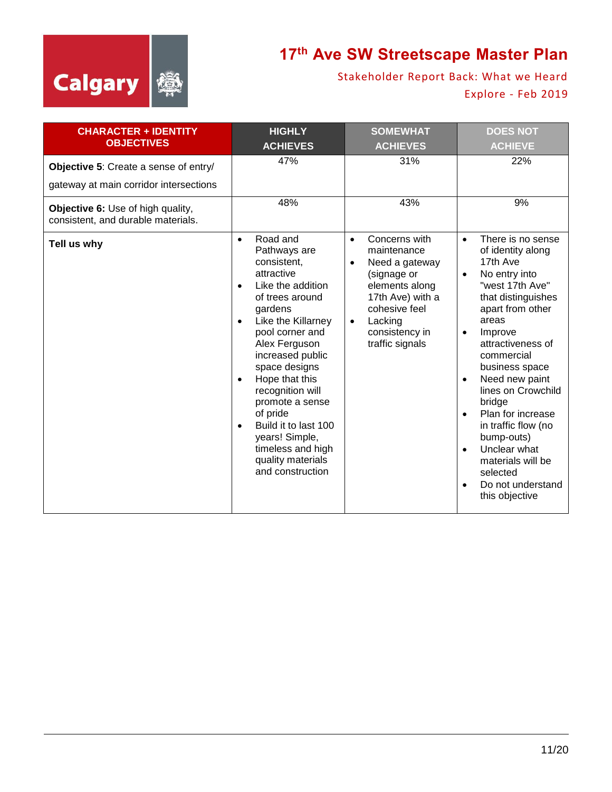

| <b>CHARACTER + IDENTITY</b><br><b>OBJECTIVES</b>                                | <b>HIGHLY</b><br><b>ACHIEVES</b>                                                                                                                                                                                                                                                                                                                                                                                                                      | <b>SOMEWHAT</b><br><b>ACHIEVES</b>                                                                                                                                                                          | <b>DOES NOT</b><br><b>ACHIEVE</b>                                                                                                                                                                                                                                                                                                                                                                                                                                                                        |
|---------------------------------------------------------------------------------|-------------------------------------------------------------------------------------------------------------------------------------------------------------------------------------------------------------------------------------------------------------------------------------------------------------------------------------------------------------------------------------------------------------------------------------------------------|-------------------------------------------------------------------------------------------------------------------------------------------------------------------------------------------------------------|----------------------------------------------------------------------------------------------------------------------------------------------------------------------------------------------------------------------------------------------------------------------------------------------------------------------------------------------------------------------------------------------------------------------------------------------------------------------------------------------------------|
| Objective 5: Create a sense of entry/<br>gateway at main corridor intersections | 47%                                                                                                                                                                                                                                                                                                                                                                                                                                                   | 31%                                                                                                                                                                                                         | 22%                                                                                                                                                                                                                                                                                                                                                                                                                                                                                                      |
| Objective 6: Use of high quality,<br>consistent, and durable materials.         | 48%                                                                                                                                                                                                                                                                                                                                                                                                                                                   | 43%                                                                                                                                                                                                         | 9%                                                                                                                                                                                                                                                                                                                                                                                                                                                                                                       |
| Tell us why                                                                     | Road and<br>$\bullet$<br>Pathways are<br>consistent,<br>attractive<br>Like the addition<br>$\bullet$<br>of trees around<br>gardens<br>Like the Killarney<br>$\bullet$<br>pool corner and<br>Alex Ferguson<br>increased public<br>space designs<br>Hope that this<br>$\bullet$<br>recognition will<br>promote a sense<br>of pride<br>Build it to last 100<br>$\bullet$<br>years! Simple,<br>timeless and high<br>quality materials<br>and construction | Concerns with<br>$\bullet$<br>maintenance<br>Need a gateway<br>$\bullet$<br>(signage or<br>elements along<br>17th Ave) with a<br>cohesive feel<br>Lacking<br>$\bullet$<br>consistency in<br>traffic signals | There is no sense<br>$\bullet$<br>of identity along<br>17th Ave<br>No entry into<br>$\bullet$<br>"west 17th Ave"<br>that distinguishes<br>apart from other<br>areas<br>Improve<br>$\bullet$<br>attractiveness of<br>commercial<br>business space<br>Need new paint<br>$\bullet$<br>lines on Crowchild<br>bridge<br>Plan for increase<br>$\bullet$<br>in traffic flow (no<br>bump-outs)<br>Unclear what<br>$\bullet$<br>materials will be<br>selected<br>Do not understand<br>$\bullet$<br>this objective |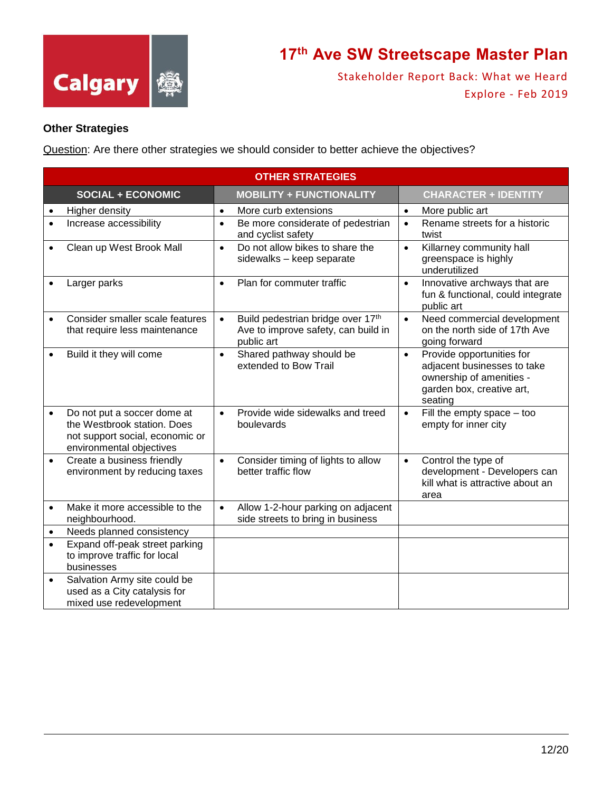

Stakeholder Report Back: What we Heard Explore - Feb 2019

#### **Other Strategies**

Question: Are there other strategies we should consider to better achieve the objectives?

<span id="page-11-0"></span>

| <b>OTHER STRATEGIES</b> |                                                                                                                           |                                                                                                     |                                                                                                                                           |  |
|-------------------------|---------------------------------------------------------------------------------------------------------------------------|-----------------------------------------------------------------------------------------------------|-------------------------------------------------------------------------------------------------------------------------------------------|--|
|                         | <b>SOCIAL + ECONOMIC</b>                                                                                                  | <b>MOBILITY + FUNCTIONALITY</b>                                                                     | <b>CHARACTER + IDENTITY</b>                                                                                                               |  |
| $\bullet$               | Higher density                                                                                                            | More curb extensions<br>$\bullet$                                                                   | More public art<br>$\bullet$                                                                                                              |  |
| $\bullet$               | Increase accessibility                                                                                                    | Be more considerate of pedestrian<br>$\bullet$<br>and cyclist safety                                | Rename streets for a historic<br>$\bullet$<br>twist                                                                                       |  |
|                         | Clean up West Brook Mall                                                                                                  | Do not allow bikes to share the<br>$\bullet$<br>sidewalks - keep separate                           | Killarney community hall<br>$\bullet$<br>greenspace is highly<br>underutilized                                                            |  |
|                         | Larger parks                                                                                                              | Plan for commuter traffic<br>$\bullet$                                                              | Innovative archways that are<br>$\bullet$<br>fun & functional, could integrate<br>public art                                              |  |
|                         | Consider smaller scale features<br>that require less maintenance                                                          | Build pedestrian bridge over 17th<br>$\bullet$<br>Ave to improve safety, can build in<br>public art | Need commercial development<br>$\bullet$<br>on the north side of 17th Ave<br>going forward                                                |  |
|                         | Build it they will come                                                                                                   | Shared pathway should be<br>$\bullet$<br>extended to Bow Trail                                      | Provide opportunities for<br>$\bullet$<br>adjacent businesses to take<br>ownership of amenities -<br>garden box, creative art,<br>seating |  |
|                         | Do not put a soccer dome at<br>the Westbrook station. Does<br>not support social, economic or<br>environmental objectives | Provide wide sidewalks and treed<br>$\bullet$<br>boulevards                                         | Fill the empty space - too<br>$\bullet$<br>empty for inner city                                                                           |  |
| $\bullet$               | Create a business friendly<br>environment by reducing taxes                                                               | Consider timing of lights to allow<br>$\bullet$<br>better traffic flow                              | Control the type of<br>$\bullet$<br>development - Developers can<br>kill what is attractive about an<br>area                              |  |
| $\bullet$               | Make it more accessible to the<br>neighbourhood.                                                                          | Allow 1-2-hour parking on adjacent<br>$\bullet$<br>side streets to bring in business                |                                                                                                                                           |  |
| $\bullet$               | Needs planned consistency                                                                                                 |                                                                                                     |                                                                                                                                           |  |
| $\bullet$               | Expand off-peak street parking<br>to improve traffic for local<br>businesses                                              |                                                                                                     |                                                                                                                                           |  |
| $\bullet$               | Salvation Army site could be<br>used as a City catalysis for<br>mixed use redevelopment                                   |                                                                                                     |                                                                                                                                           |  |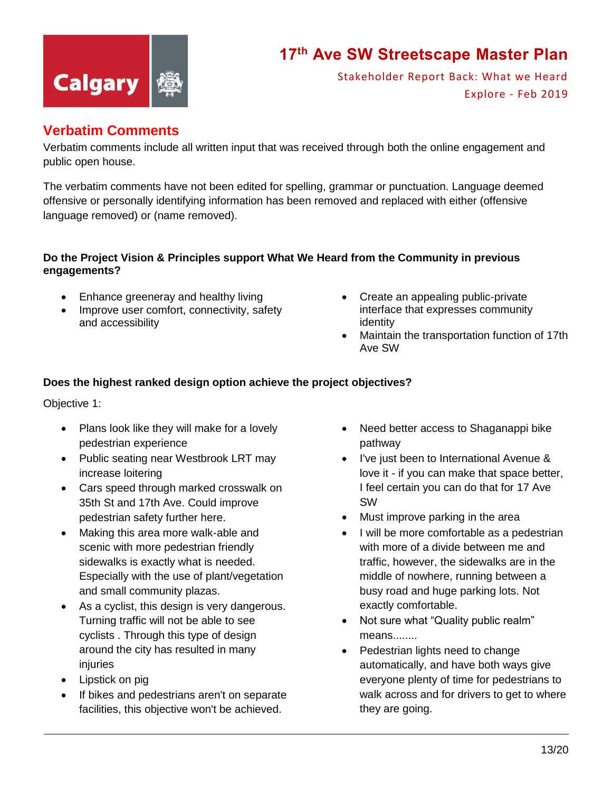

Stakeholder Report Back: What we Heard Explore - Feb 2019

#### **Verbatim Comments**

Verbatim comments include all written input that was received through both the online engagement and public open house.

The verbatim comments have not been edited for spelling, grammar or punctuation. Language deemed offensive or personally identifying information has been removed and replaced with either (offensive language removed) or (name removed).

#### **Do the Project Vision & Principles support What We Heard from the Community in previous engagements?**

- Enhance greeneray and healthy living
- Improve user comfort, connectivity, safety and accessibility
- Create an appealing public-private interface that expresses community identity
- Maintain the transportation function of 17th Ave SW

#### **Does the highest ranked design option achieve the project objectives?**

Objective 1:

- Plans look like they will make for a lovely pedestrian experience
- Public seating near Westbrook LRT may increase loitering
- Cars speed through marked crosswalk on 35th St and 17th Ave. Could improve pedestrian safety further here.
- Making this area more walk-able and scenic with more pedestrian friendly sidewalks is exactly what is needed. Especially with the use of plant/vegetation and small community plazas.
- As a cyclist, this design is very dangerous. Turning traffic will not be able to see cyclists . Through this type of design around the city has resulted in many injuries
- Lipstick on pig
- If bikes and pedestrians aren't on separate facilities, this objective won't be achieved.
- Need better access to Shaganappi bike pathway
- I've just been to International Avenue & love it - if you can make that space better, I feel certain you can do that for 17 Ave SW
- Must improve parking in the area
- I will be more comfortable as a pedestrian with more of a divide between me and traffic, however, the sidewalks are in the middle of nowhere, running between a busy road and huge parking lots. Not exactly comfortable.
- Not sure what "Quality public realm" means........
- Pedestrian lights need to change automatically, and have both ways give everyone plenty of time for pedestrians to walk across and for drivers to get to where they are going.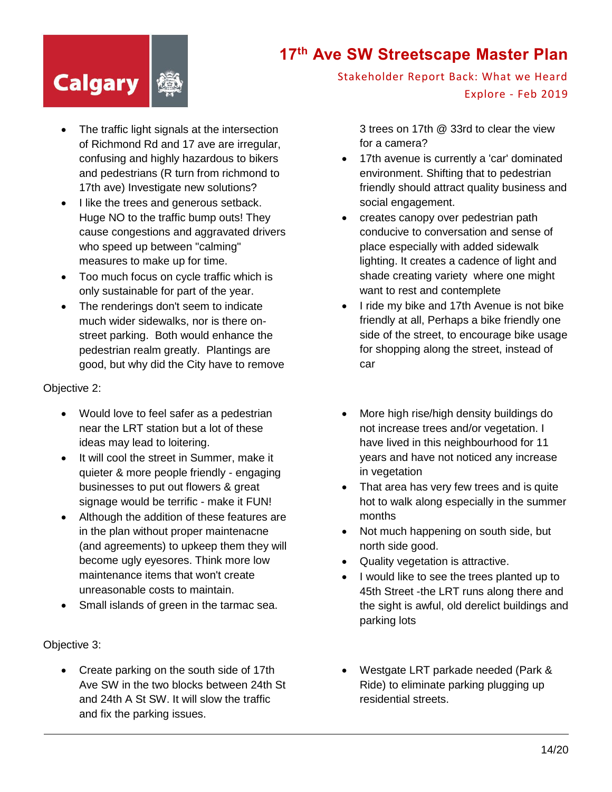

 The traffic light signals at the intersection of Richmond Rd and 17 ave are irregular, confusing and highly hazardous to bikers and pedestrians (R turn from richmond to 17th ave) Investigate new solutions?

- I like the trees and generous setback. Huge NO to the traffic bump outs! They cause congestions and aggravated drivers who speed up between "calming" measures to make up for time.
- Too much focus on cycle traffic which is only sustainable for part of the year.
- The renderings don't seem to indicate much wider sidewalks, nor is there onstreet parking. Both would enhance the pedestrian realm greatly. Plantings are good, but why did the City have to remove

#### Objective 2:

- Would love to feel safer as a pedestrian near the LRT station but a lot of these ideas may lead to loitering.
- It will cool the street in Summer, make it quieter & more people friendly - engaging businesses to put out flowers & great signage would be terrific - make it FUN!
- Although the addition of these features are in the plan without proper maintenacne (and agreements) to upkeep them they will become ugly eyesores. Think more low maintenance items that won't create unreasonable costs to maintain.
- Small islands of green in the tarmac sea.

#### Objective 3:

• Create parking on the south side of 17th Ave SW in the two blocks between 24th St and 24th A St SW. It will slow the traffic and fix the parking issues.

Stakeholder Report Back: What we Heard Explore - Feb 2019

3 trees on 17th @ 33rd to clear the view for a camera?

- 17th avenue is currently a 'car' dominated environment. Shifting that to pedestrian friendly should attract quality business and social engagement.
- creates canopy over pedestrian path conducive to conversation and sense of place especially with added sidewalk lighting. It creates a cadence of light and shade creating variety where one might want to rest and contemplete
- I ride my bike and 17th Avenue is not bike friendly at all, Perhaps a bike friendly one side of the street, to encourage bike usage for shopping along the street, instead of car
- More high rise/high density buildings do not increase trees and/or vegetation. I have lived in this neighbourhood for 11 years and have not noticed any increase in vegetation
- That area has very few trees and is quite hot to walk along especially in the summer months
- Not much happening on south side, but north side good.
- Quality vegetation is attractive.
- I would like to see the trees planted up to 45th Street -the LRT runs along there and the sight is awful, old derelict buildings and parking lots
- Westgate LRT parkade needed (Park & Ride) to eliminate parking plugging up residential streets.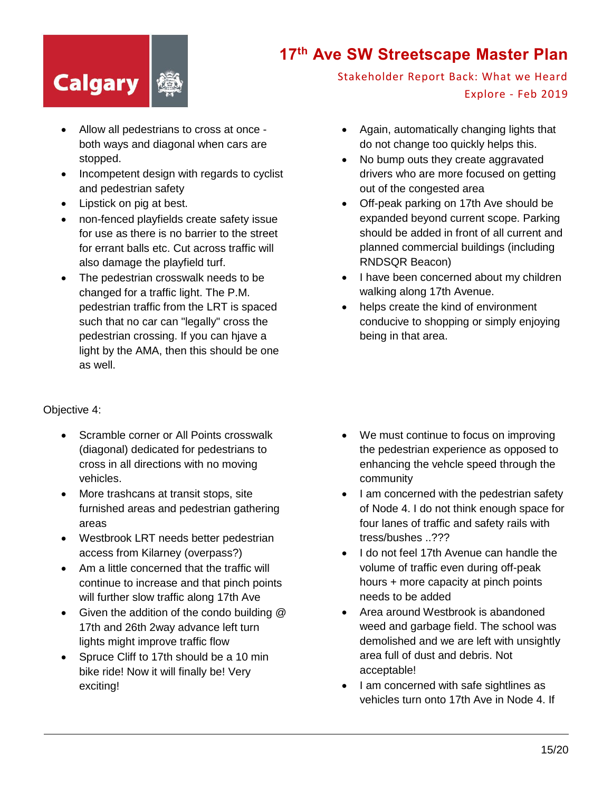

- Allow all pedestrians to cross at once both ways and diagonal when cars are stopped.
- Incompetent design with regards to cyclist and pedestrian safety
- Lipstick on pig at best.
- non-fenced playfields create safety issue for use as there is no barrier to the street for errant balls etc. Cut across traffic will also damage the playfield turf.
- The pedestrian crosswalk needs to be changed for a traffic light. The P.M. pedestrian traffic from the LRT is spaced such that no car can "legally" cross the pedestrian crossing. If you can hjave a light by the AMA, then this should be one as well.

#### Objective 4:

- Scramble corner or All Points crosswalk (diagonal) dedicated for pedestrians to cross in all directions with no moving vehicles.
- More trashcans at transit stops, site furnished areas and pedestrian gathering areas
- Westbrook LRT needs better pedestrian access from Kilarney (overpass?)
- Am a little concerned that the traffic will continue to increase and that pinch points will further slow traffic along 17th Ave
- Given the addition of the condo building @ 17th and 26th 2way advance left turn lights might improve traffic flow
- Spruce Cliff to 17th should be a 10 min bike ride! Now it will finally be! Very exciting!

- Again, automatically changing lights that do not change too quickly helps this.
- No bump outs they create aggravated drivers who are more focused on getting out of the congested area
- Off-peak parking on 17th Ave should be expanded beyond current scope. Parking should be added in front of all current and planned commercial buildings (including RNDSQR Beacon)
- I have been concerned about my children walking along 17th Avenue.
- helps create the kind of environment conducive to shopping or simply enjoying being in that area.

- We must continue to focus on improving the pedestrian experience as opposed to enhancing the vehcle speed through the community
- I am concerned with the pedestrian safety of Node 4. I do not think enough space for four lanes of traffic and safety rails with tress/bushes ..???
- I do not feel 17th Avenue can handle the volume of traffic even during off-peak hours + more capacity at pinch points needs to be added
- Area around Westbrook is abandoned weed and garbage field. The school was demolished and we are left with unsightly area full of dust and debris. Not acceptable!
- I am concerned with safe sightlines as vehicles turn onto 17th Ave in Node 4. If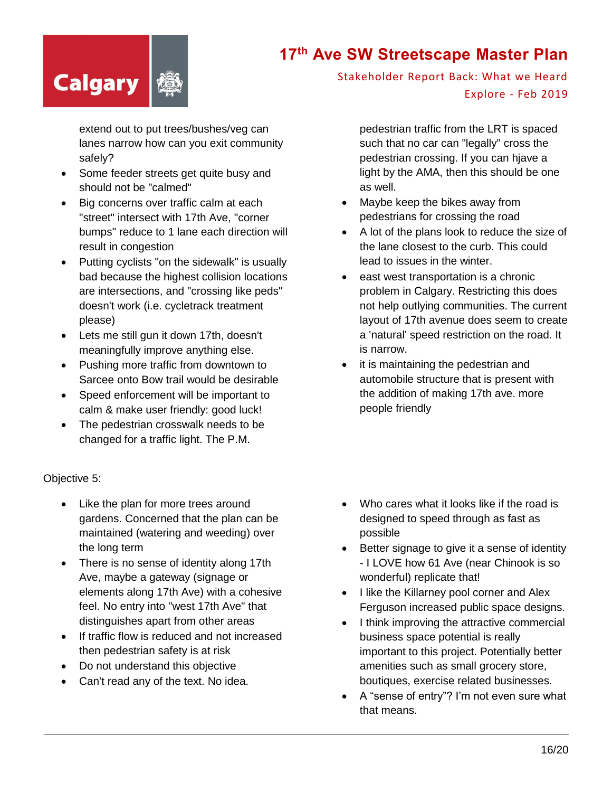

extend out to put trees/bushes/veg can lanes narrow how can you exit community safely?

- Some feeder streets get quite busy and should not be "calmed"
- Big concerns over traffic calm at each "street" intersect with 17th Ave, "corner bumps" reduce to 1 lane each direction will result in congestion
- Putting cyclists "on the sidewalk" is usually bad because the highest collision locations are intersections, and "crossing like peds" doesn't work (i.e. cycletrack treatment please)
- Lets me still gun it down 17th, doesn't meaningfully improve anything else.
- Pushing more traffic from downtown to Sarcee onto Bow trail would be desirable
- Speed enforcement will be important to calm & make user friendly: good luck!
- The pedestrian crosswalk needs to be changed for a traffic light. The P.M.

Objective 5:

- Like the plan for more trees around gardens. Concerned that the plan can be maintained (watering and weeding) over the long term
- There is no sense of identity along 17th Ave, maybe a gateway (signage or elements along 17th Ave) with a cohesive feel. No entry into "west 17th Ave" that distinguishes apart from other areas
- If traffic flow is reduced and not increased then pedestrian safety is at risk
- Do not understand this objective
- Can't read any of the text. No idea.

Stakeholder Report Back: What we Heard Explore - Feb 2019

pedestrian traffic from the LRT is spaced such that no car can "legally" cross the pedestrian crossing. If you can hjave a light by the AMA, then this should be one as well.

- Maybe keep the bikes away from pedestrians for crossing the road
- A lot of the plans look to reduce the size of the lane closest to the curb. This could lead to issues in the winter.
- east west transportation is a chronic problem in Calgary. Restricting this does not help outlying communities. The current layout of 17th avenue does seem to create a 'natural' speed restriction on the road. It is narrow.
- it is maintaining the pedestrian and automobile structure that is present with the addition of making 17th ave. more people friendly

- Who cares what it looks like if the road is designed to speed through as fast as possible
- Better signage to give it a sense of identity - I LOVE how 61 Ave (near Chinook is so wonderful) replicate that!
- I like the Killarney pool corner and Alex Ferguson increased public space designs.
- I think improving the attractive commercial business space potential is really important to this project. Potentially better amenities such as small grocery store, boutiques, exercise related businesses.
- A "sense of entry"? I'm not even sure what that means.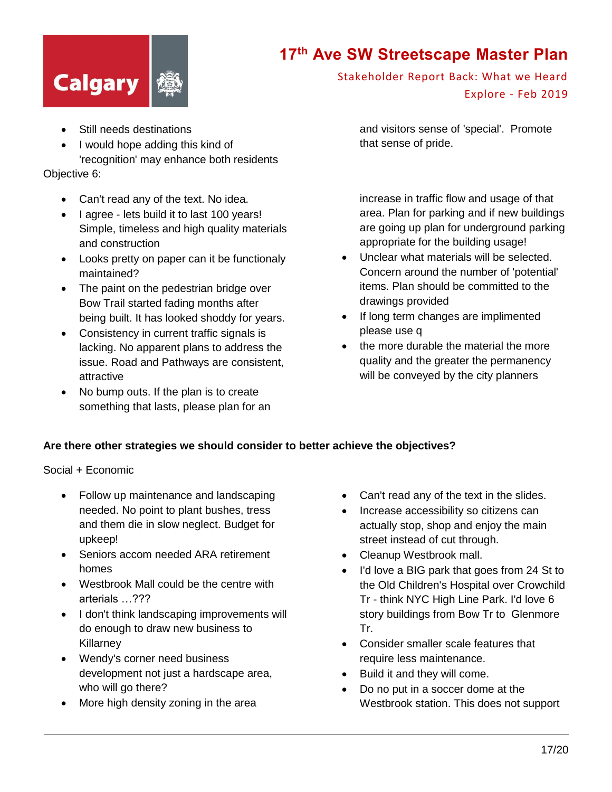

Stakeholder Report Back: What we Heard Explore - Feb 2019

- Still needs destinations
- I would hope adding this kind of 'recognition' may enhance both residents

Objective 6:

- Can't read any of the text. No idea.
- lagree lets build it to last 100 years! Simple, timeless and high quality materials and construction
- Looks pretty on paper can it be functionaly maintained?
- The paint on the pedestrian bridge over Bow Trail started fading months after being built. It has looked shoddy for years.
- Consistency in current traffic signals is lacking. No apparent plans to address the issue. Road and Pathways are consistent, attractive
- No bump outs. If the plan is to create something that lasts, please plan for an

and visitors sense of 'special'. Promote that sense of pride.

increase in traffic flow and usage of that area. Plan for parking and if new buildings are going up plan for underground parking appropriate for the building usage!

- Unclear what materials will be selected. Concern around the number of 'potential' items. Plan should be committed to the drawings provided
- If long term changes are implimented please use q
- the more durable the material the more quality and the greater the permanency will be conveyed by the city planners

#### **Are there other strategies we should consider to better achieve the objectives?**

Social + Economic

- Follow up maintenance and landscaping needed. No point to plant bushes, tress and them die in slow neglect. Budget for upkeep!
- Seniors accom needed ARA retirement homes
- Westbrook Mall could be the centre with arterials …???
- I don't think landscaping improvements will do enough to draw new business to Killarney
- Wendy's corner need business development not just a hardscape area, who will go there?
- More high density zoning in the area
- Can't read any of the text in the slides.
- Increase accessibility so citizens can actually stop, shop and enjoy the main street instead of cut through.
- Cleanup Westbrook mall.
- I'd love a BIG park that goes from 24 St to the Old Children's Hospital over Crowchild Tr - think NYC High Line Park. I'd love 6 story buildings from Bow Tr to Glenmore Tr.
- Consider smaller scale features that require less maintenance.
- Build it and they will come.
- Do no put in a soccer dome at the Westbrook station. This does not support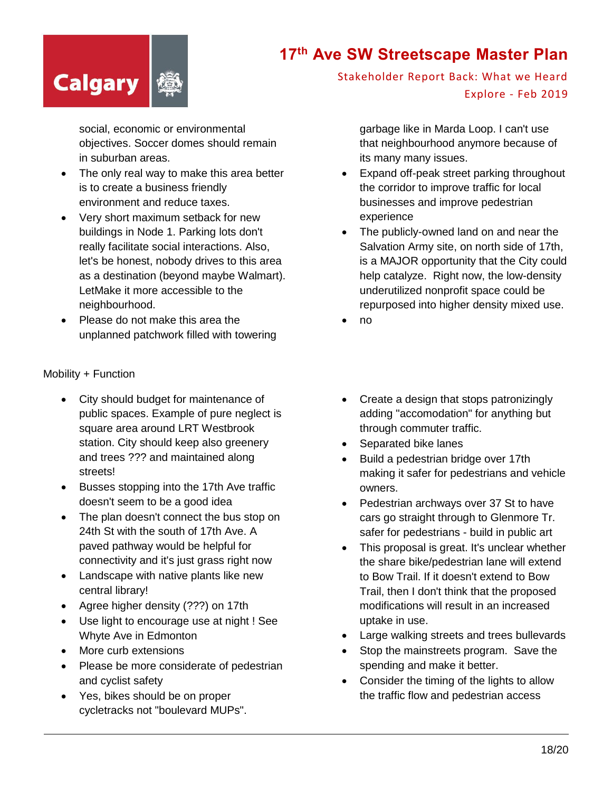# **Calgary**

**17 th Ave SW Streetscape Master Plan**

social, economic or environmental objectives. Soccer domes should remain in suburban areas.

- The only real way to make this area better is to create a business friendly environment and reduce taxes.
- Very short maximum setback for new buildings in Node 1. Parking lots don't really facilitate social interactions. Also, let's be honest, nobody drives to this area as a destination (beyond maybe Walmart). LetMake it more accessible to the neighbourhood.
- Please do not make this area the unplanned patchwork filled with towering

#### Mobility + Function

- City should budget for maintenance of public spaces. Example of pure neglect is square area around LRT Westbrook station. City should keep also greenery and trees ??? and maintained along streets!
- Busses stopping into the 17th Ave traffic doesn't seem to be a good idea
- The plan doesn't connect the bus stop on 24th St with the south of 17th Ave. A paved pathway would be helpful for connectivity and it's just grass right now
- Landscape with native plants like new central library!
- Agree higher density (???) on 17th
- Use light to encourage use at night ! See Whyte Ave in Edmonton
- More curb extensions
- Please be more considerate of pedestrian and cyclist safety
- Yes, bikes should be on proper cycletracks not "boulevard MUPs".

Stakeholder Report Back: What we Heard Explore - Feb 2019

garbage like in Marda Loop. I can't use that neighbourhood anymore because of its many many issues.

- Expand off-peak street parking throughout the corridor to improve traffic for local businesses and improve pedestrian experience
- The publicly-owned land on and near the Salvation Army site, on north side of 17th, is a MAJOR opportunity that the City could help catalyze. Right now, the low-density underutilized nonprofit space could be repurposed into higher density mixed use.
- no
- Create a design that stops patronizingly adding "accomodation" for anything but through commuter traffic.
- Separated bike lanes
- Build a pedestrian bridge over 17th making it safer for pedestrians and vehicle owners.
- Pedestrian archways over 37 St to have cars go straight through to Glenmore Tr. safer for pedestrians - build in public art
- This proposal is great. It's unclear whether the share bike/pedestrian lane will extend to Bow Trail. If it doesn't extend to Bow Trail, then I don't think that the proposed modifications will result in an increased uptake in use.
- Large walking streets and trees bullevards
- Stop the mainstreets program. Save the spending and make it better.
- Consider the timing of the lights to allow the traffic flow and pedestrian access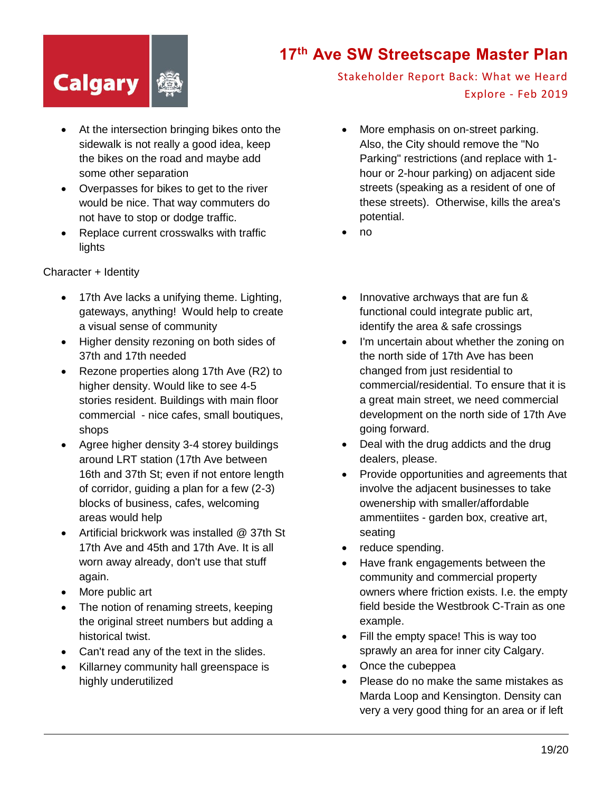

- At the intersection bringing bikes onto the sidewalk is not really a good idea, keep the bikes on the road and maybe add some other separation
- Overpasses for bikes to get to the river would be nice. That way commuters do not have to stop or dodge traffic.
- Replace current crosswalks with traffic lights

#### Character + Identity

- 17th Ave lacks a unifying theme. Lighting, gateways, anything! Would help to create a visual sense of community
- Higher density rezoning on both sides of 37th and 17th needed
- Rezone properties along 17th Ave (R2) to higher density. Would like to see 4-5 stories resident. Buildings with main floor commercial - nice cafes, small boutiques, shops
- Agree higher density 3-4 storey buildings around LRT station (17th Ave between 16th and 37th St; even if not entore length of corridor, guiding a plan for a few (2-3) blocks of business, cafes, welcoming areas would help
- Artificial brickwork was installed @ 37th St 17th Ave and 45th and 17th Ave. It is all worn away already, don't use that stuff again.
- More public art
- The notion of renaming streets, keeping the original street numbers but adding a historical twist.
- Can't read any of the text in the slides.
- Killarney community hall greenspace is highly underutilized
- Stakeholder Report Back: What we Heard Explore - Feb 2019
	- More emphasis on on-street parking. Also, the City should remove the "No Parking" restrictions (and replace with 1 hour or 2-hour parking) on adjacent side streets (speaking as a resident of one of these streets). Otherwise, kills the area's potential.
- no
- Innovative archways that are fun & functional could integrate public art, identify the area & safe crossings
- I'm uncertain about whether the zoning on the north side of 17th Ave has been changed from just residential to commercial/residential. To ensure that it is a great main street, we need commercial development on the north side of 17th Ave going forward.
- Deal with the drug addicts and the drug dealers, please.
- Provide opportunities and agreements that involve the adjacent businesses to take owenership with smaller/affordable ammentiites - garden box, creative art, seating
- reduce spending.
- Have frank engagements between the community and commercial property owners where friction exists. I.e. the empty field beside the Westbrook C-Train as one example.
- Fill the empty space! This is way too sprawly an area for inner city Calgary.
- Once the cubeppea
- Please do no make the same mistakes as Marda Loop and Kensington. Density can very a very good thing for an area or if left